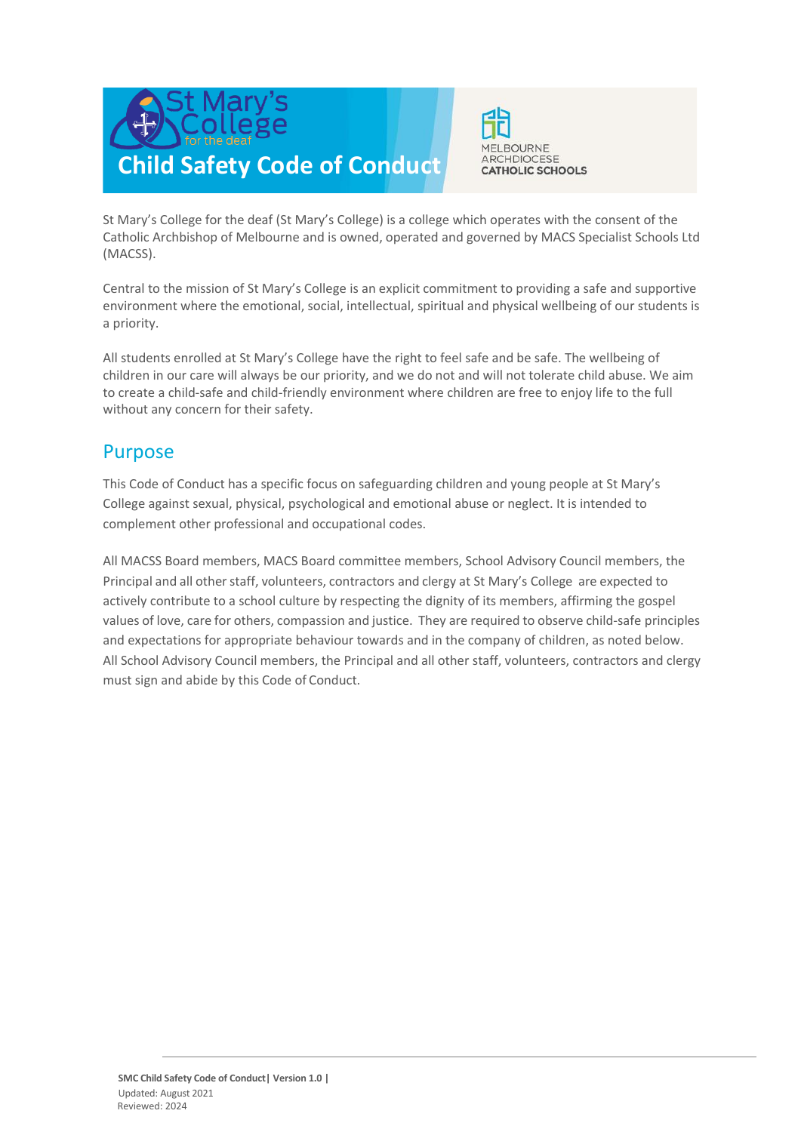



St Mary's College for the deaf (St Mary's College) is a college which operates with the consent of the Catholic Archbishop of Melbourne and is owned, operated and governed by MACS Specialist Schools Ltd (MACSS).

Central to the mission of St Mary's College is an explicit commitment to providing a safe and supportive environment where the emotional, social, intellectual, spiritual and physical wellbeing of our students is a priority.

All students enrolled at St Mary's College have the right to feel safe and be safe. The wellbeing of children in our care will always be our priority, and we do not and will not tolerate child abuse. We aim to create a child-safe and child-friendly environment where children are free to enjoy life to the full without any concern for their safety.

#### Purpose

This Code of Conduct has a specific focus on safeguarding children and young people at St Mary's College against sexual, physical, psychological and emotional abuse or neglect. It is intended to complement other professional and occupational codes.

All MACSS Board members, MACS Board committee members, School Advisory Council members, the Principal and all other staff, volunteers, contractors and clergy at St Mary's College are expected to actively contribute to a school culture by respecting the dignity of its members, affirming the gospel values of love, care for others, compassion and justice. They are required to observe child-safe principles and expectations for appropriate behaviour towards and in the company of children, as noted below. All School Advisory Council members, the Principal and all other staff, volunteers, contractors and clergy must sign and abide by this Code of Conduct.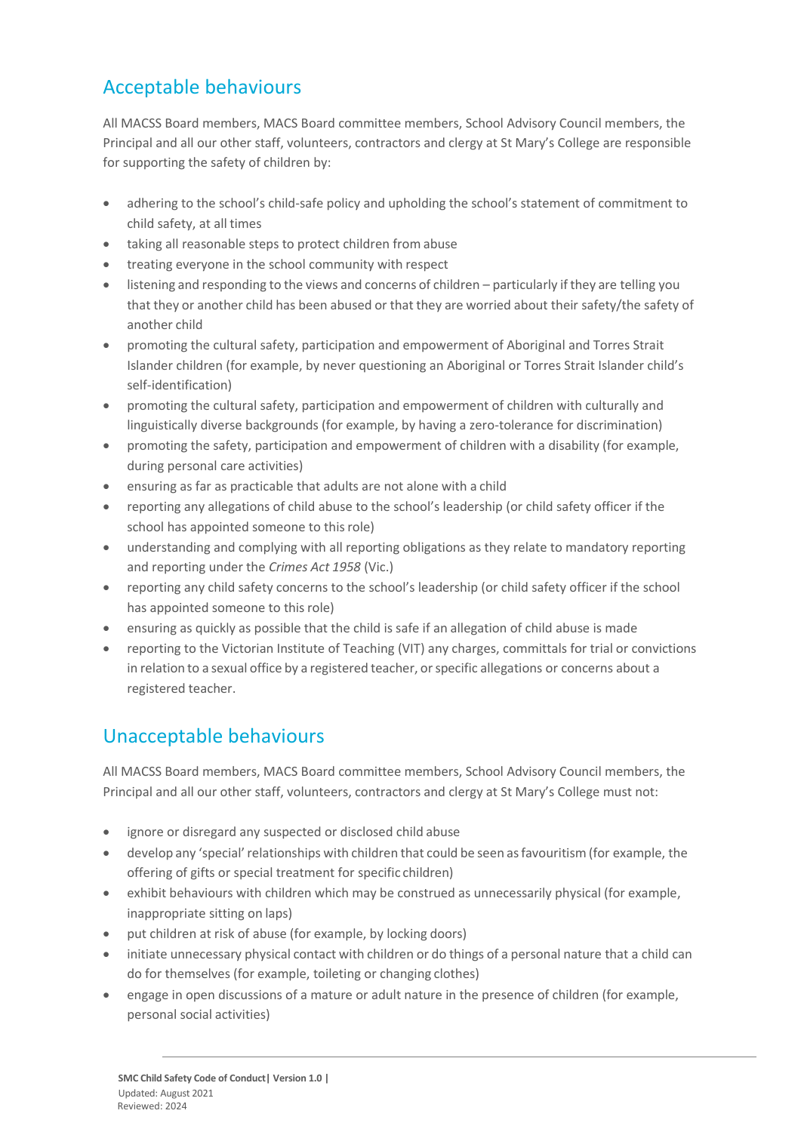# Acceptable behaviours

All MACSS Board members, MACS Board committee members, School Advisory Council members, the Principal and all our other staff, volunteers, contractors and clergy at St Mary's College are responsible for supporting the safety of children by:

- adhering to the school's child-safe policy and upholding the school's statement of commitment to child safety, at all times
- taking all reasonable steps to protect children from abuse
- treating everyone in the school community with respect
- listening and responding to the views and concerns of children particularly if they are telling you that they or another child has been abused or that they are worried about their safety/the safety of another child
- promoting the cultural safety, participation and empowerment of Aboriginal and Torres Strait Islander children (for example, by never questioning an Aboriginal or Torres Strait Islander child's self-identification)
- promoting the cultural safety, participation and empowerment of children with culturally and linguistically diverse backgrounds (for example, by having a zero-tolerance for discrimination)
- promoting the safety, participation and empowerment of children with a disability (for example, during personal care activities)
- ensuring as far as practicable that adults are not alone with a child
- reporting any allegations of child abuse to the school's leadership (or child safety officer if the school has appointed someone to this role)
- understanding and complying with all reporting obligations as they relate to mandatory reporting and reporting under the *Crimes Act 1958* (Vic.)
- reporting any child safety concerns to the school's leadership (or child safety officer if the school has appointed someone to thisrole)
- ensuring as quickly as possible that the child is safe if an allegation of child abuse is made
- reporting to the Victorian Institute of Teaching (VIT) any charges, committals for trial or convictions in relation to a sexual office by a registered teacher, orspecific allegations or concerns about a registered teacher.

## Unacceptable behaviours

All MACSS Board members, MACS Board committee members, School Advisory Council members, the Principal and all our other staff, volunteers, contractors and clergy at St Mary's College must not:

- ignore or disregard any suspected or disclosed child abuse
- develop any 'special'relationships with children that could be seen asfavouritism (for example, the offering of gifts or special treatment for specific children)
- exhibit behaviours with children which may be construed as unnecessarily physical (for example, inappropriate sitting on laps)
- put children at risk of abuse (for example, by locking doors)
- initiate unnecessary physical contact with children or do things of a personal nature that a child can do for themselves (for example, toileting or changing clothes)
- engage in open discussions of a mature or adult nature in the presence of children (for example, personal social activities)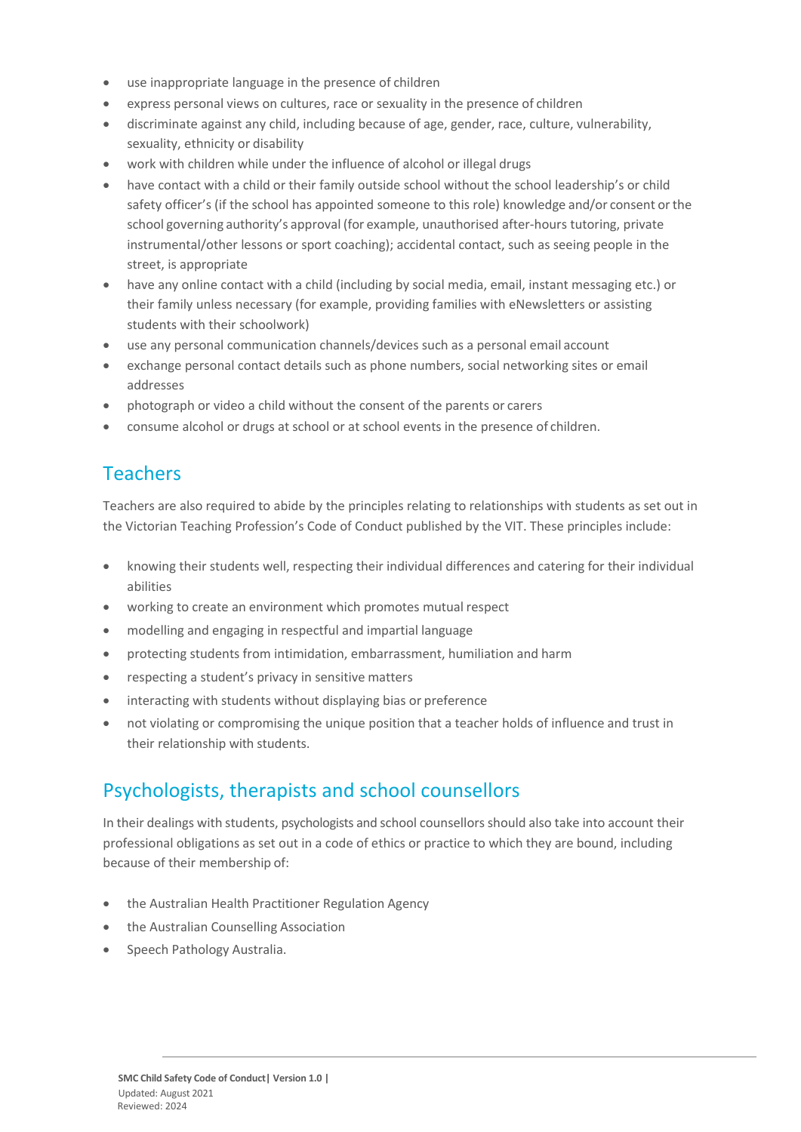- use inappropriate language in the presence of children
- express personal views on cultures, race or sexuality in the presence of children
- discriminate against any child, including because of age, gender, race, culture, vulnerability, sexuality, ethnicity or disability
- work with children while under the influence of alcohol or illegal drugs
- have contact with a child or their family outside school without the school leadership's or child safety officer's (if the school has appointed someone to this role) knowledge and/or consent orthe school governing authority's approval (for example, unauthorised after-hours tutoring, private instrumental/other lessons or sport coaching); accidental contact, such as seeing people in the street, is appropriate
- have any online contact with a child (including by social media, email, instant messaging etc.) or their family unless necessary (for example, providing families with eNewsletters or assisting students with their schoolwork)
- use any personal communication channels/devices such as a personal email account
- exchange personal contact details such as phone numbers, social networking sites or email addresses
- photograph or video a child without the consent of the parents or carers
- consume alcohol or drugs at school or at school events in the presence of children.

## Teachers

Teachers are also required to abide by the principles relating to relationships with students as set out in the Victorian Teaching Profession's Code of Conduct published by the VIT. These principles include:

- knowing their students well, respecting their individual differences and catering for their individual abilities
- working to create an environment which promotes mutual respect
- modelling and engaging in respectful and impartial language
- protecting students from intimidation, embarrassment, humiliation and harm
- respecting a student's privacy in sensitive matters
- interacting with students without displaying bias or preference
- not violating or compromising the unique position that a teacher holds of influence and trust in their relationship with students.

#### Psychologists, therapists and school counsellors

In their dealings with students, psychologists and school counsellorsshould also take into account their professional obligations as set out in a code of ethics or practice to which they are bound, including because of their membership of:

- the Australian Health Practitioner Regulation Agency
- the Australian Counselling Association
- Speech Pathology Australia.